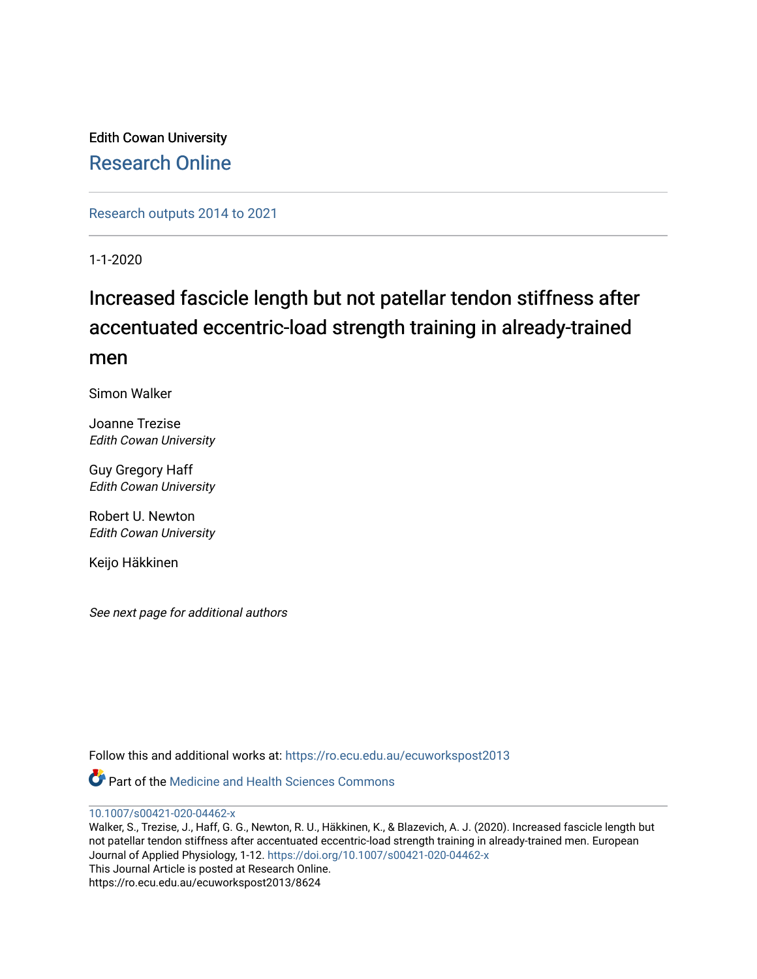Edith Cowan University [Research Online](https://ro.ecu.edu.au/) 

[Research outputs 2014 to 2021](https://ro.ecu.edu.au/ecuworkspost2013) 

1-1-2020

# Increased fascicle length but not patellar tendon stiffness after accentuated eccentric-load strength training in already-trained men

Simon Walker

Joanne Trezise Edith Cowan University

Guy Gregory Haff Edith Cowan University

Robert U. Newton Edith Cowan University

Keijo Häkkinen

See next page for additional authors

Follow this and additional works at: [https://ro.ecu.edu.au/ecuworkspost2013](https://ro.ecu.edu.au/ecuworkspost2013?utm_source=ro.ecu.edu.au%2Fecuworkspost2013%2F8624&utm_medium=PDF&utm_campaign=PDFCoverPages) 

**C**<sup> $\bullet$ </sup> Part of the Medicine and Health Sciences Commons

[10.1007/s00421-020-04462-x](http://dx.doi.org/10.1007/s00421-020-04462-x) 

Walker, S., Trezise, J., Haff, G. G., Newton, R. U., Häkkinen, K., & Blazevich, A. J. (2020). Increased fascicle length but not patellar tendon stiffness after accentuated eccentric-load strength training in already-trained men. European Journal of Applied Physiology, 1-12. <https://doi.org/10.1007/s00421-020-04462-x> This Journal Article is posted at Research Online. https://ro.ecu.edu.au/ecuworkspost2013/8624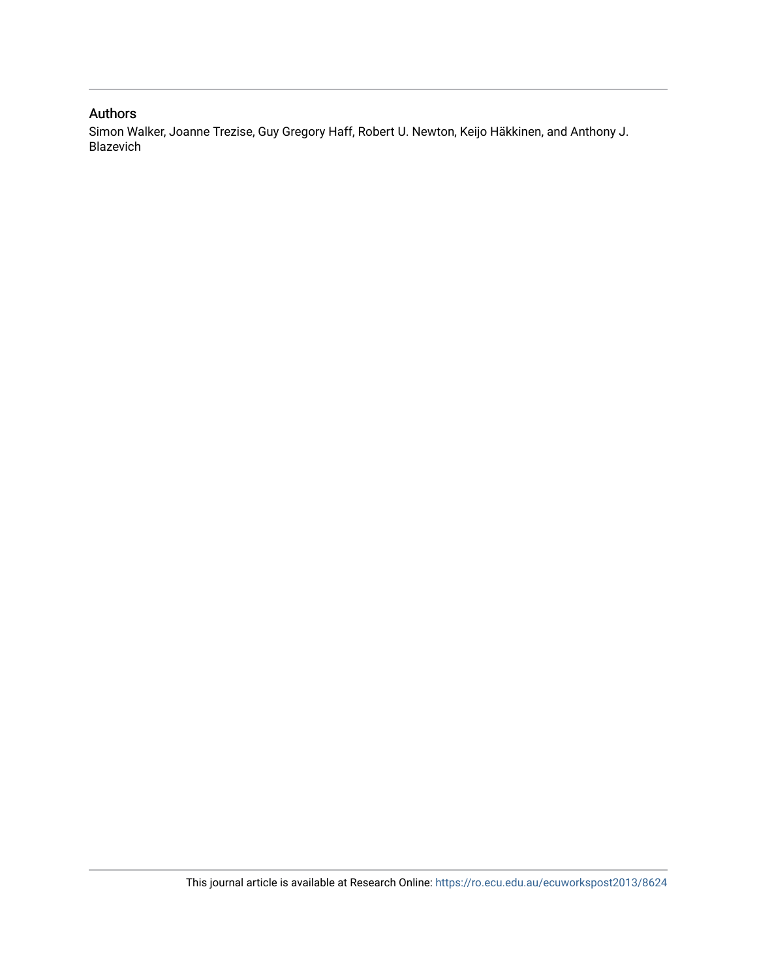## Authors

Simon Walker, Joanne Trezise, Guy Gregory Haff, Robert U. Newton, Keijo Häkkinen, and Anthony J. Blazevich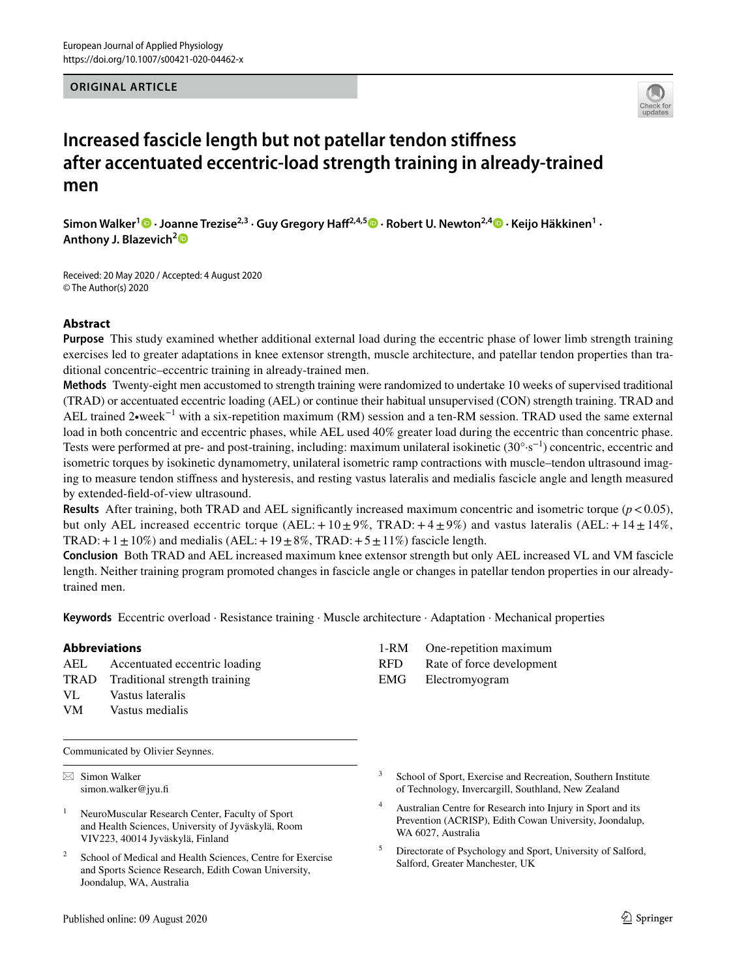#### **ORIGINAL ARTICLE**



# **Increased fascicle length but not patellar tendon stifness after accentuated eccentric‑load strength training in already‑trained men**

 $\sin$ on Walker $^1$   $\bullet$   $\cdot$  Joanne Trezise<sup>2,3</sup>  $\cdot$  Guy Gregory Haff $^{2,4,5}$   $\bullet$   $\cdot$  Robert U. Newton<sup>2,4</sup>  $\bullet$   $\cdot$  Keijo Häkkinen $^1$   $\cdot$ **Anthony J. Blazevich[2](http://orcid.org/0000-0003-1664-1614)**

Received: 20 May 2020 / Accepted: 4 August 2020 © The Author(s) 2020

#### **Abstract**

**Purpose** This study examined whether additional external load during the eccentric phase of lower limb strength training exercises led to greater adaptations in knee extensor strength, muscle architecture, and patellar tendon properties than traditional concentric–eccentric training in already-trained men.

**Methods** Twenty-eight men accustomed to strength training were randomized to undertake 10 weeks of supervised traditional (TRAD) or accentuated eccentric loading (AEL) or continue their habitual unsupervised (CON) strength training. TRAD and AEL trained 2•week<sup>-1</sup> with a six-repetition maximum (RM) session and a ten-RM session. TRAD used the same external load in both concentric and eccentric phases, while AEL used 40% greater load during the eccentric than concentric phase. Tests were performed at pre- and post-training, including: maximum unilateral isokinetic  $(30°·s<sup>-1</sup>)$  concentric, eccentric and isometric torques by isokinetic dynamometry, unilateral isometric ramp contractions with muscle–tendon ultrasound imaging to measure tendon stifness and hysteresis, and resting vastus lateralis and medialis fascicle angle and length measured by extended-feld-of-view ultrasound.

**Results** After training, both TRAD and AEL significantly increased maximum concentric and isometric torque ( $p < 0.05$ ), but only AEL increased eccentric torque (AEL: +  $10 \pm 9\%$ , TRAD: +  $4 \pm 9\%$ ) and vastus lateralis (AEL: +  $14 \pm 14\%$ , TRAD:  $+1 \pm 10\%$ ) and medialis (AEL:  $+19 \pm 8\%$ , TRAD:  $+5 \pm 11\%$ ) fascicle length.

**Conclusion** Both TRAD and AEL increased maximum knee extensor strength but only AEL increased VL and VM fascicle length. Neither training program promoted changes in fascicle angle or changes in patellar tendon properties in our alreadytrained men.

**Keywords** Eccentric overload · Resistance training · Muscle architecture · Adaptation · Mechanical properties

#### **Abbreviations**

AEL Accentuated eccentric loading TRAD Traditional strength training VL Vastus lateralis<br>VM Vastus medialis Vastus medialis

Communicated by Olivier Seynnes.

 $\boxtimes$  Simon Walker simon.walker@jyu.fi

- <sup>1</sup> NeuroMuscular Research Center, Faculty of Sport and Health Sciences, University of Jyväskylä, Room VIV223, 40014 Jyväskylä, Finland
- School of Medical and Health Sciences, Centre for Exercise and Sports Science Research, Edith Cowan University, Joondalup, WA, Australia
- 1-RM One-repetition maximum
- RFD Rate of force development
- EMG Electromyogram
- School of Sport, Exercise and Recreation, Southern Institute of Technology, Invercargill, Southland, New Zealand
- <sup>4</sup> Australian Centre for Research into Injury in Sport and its Prevention (ACRISP), Edith Cowan University, Joondalup, WA 6027, Australia
- <sup>5</sup> Directorate of Psychology and Sport, University of Salford, Salford, Greater Manchester, UK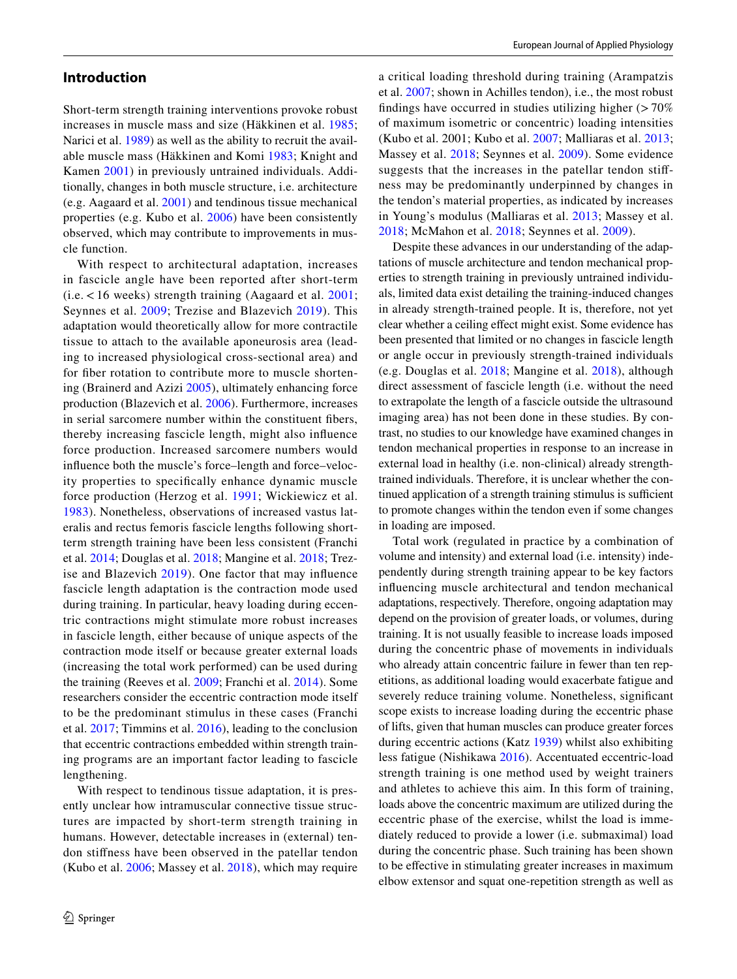#### **Introduction**

Short-term strength training interventions provoke robust increases in muscle mass and size (Häkkinen et al. [1985](#page-12-0); Narici et al. [1989](#page-12-1)) as well as the ability to recruit the available muscle mass (Häkkinen and Komi [1983](#page-12-2); Knight and Kamen [2001\)](#page-12-3) in previously untrained individuals. Additionally, changes in both muscle structure, i.e. architecture (e.g. Aagaard et al. [2001](#page-11-0)) and tendinous tissue mechanical properties (e.g. Kubo et al. [2006](#page-12-4)) have been consistently observed, which may contribute to improvements in muscle function.

With respect to architectural adaptation, increases in fascicle angle have been reported after short-term (i.e. < 16 weeks) strength training (Aagaard et al. [2001](#page-11-0); Seynnes et al. [2009](#page-13-0); Trezise and Blazevich [2019\)](#page-13-1). This adaptation would theoretically allow for more contractile tissue to attach to the available aponeurosis area (leading to increased physiological cross-sectional area) and for fber rotation to contribute more to muscle shortening (Brainerd and Azizi [2005](#page-12-5)), ultimately enhancing force production (Blazevich et al. [2006\)](#page-12-6). Furthermore, increases in serial sarcomere number within the constituent fbers, thereby increasing fascicle length, might also infuence force production. Increased sarcomere numbers would infuence both the muscle's force–length and force–velocity properties to specifcally enhance dynamic muscle force production (Herzog et al. [1991;](#page-12-7) Wickiewicz et al. [1983\)](#page-13-2). Nonetheless, observations of increased vastus lateralis and rectus femoris fascicle lengths following shortterm strength training have been less consistent (Franchi et al. [2014](#page-12-8); Douglas et al. [2018;](#page-12-9) Mangine et al. [2018](#page-12-10); Trezise and Blazevich [2019](#page-13-1)). One factor that may infuence fascicle length adaptation is the contraction mode used during training. In particular, heavy loading during eccentric contractions might stimulate more robust increases in fascicle length, either because of unique aspects of the contraction mode itself or because greater external loads (increasing the total work performed) can be used during the training (Reeves et al. [2009](#page-13-3); Franchi et al. [2014\)](#page-12-8). Some researchers consider the eccentric contraction mode itself to be the predominant stimulus in these cases (Franchi et al. [2017](#page-12-11); Timmins et al. [2016](#page-13-4)), leading to the conclusion that eccentric contractions embedded within strength training programs are an important factor leading to fascicle lengthening.

With respect to tendinous tissue adaptation, it is presently unclear how intramuscular connective tissue structures are impacted by short-term strength training in humans. However, detectable increases in (external) tendon stifness have been observed in the patellar tendon (Kubo et al. [2006;](#page-12-4) Massey et al. [2018](#page-12-12)), which may require a critical loading threshold during training (Arampatzis et al. [2007](#page-12-13); shown in Achilles tendon), i.e., the most robust findings have occurred in studies utilizing higher  $(>70\%)$ of maximum isometric or concentric) loading intensities (Kubo et al. 2001; Kubo et al. [2007](#page-12-14); Malliaras et al. [2013](#page-12-15); Massey et al. [2018;](#page-12-12) Seynnes et al. [2009](#page-13-0)). Some evidence suggests that the increases in the patellar tendon stifness may be predominantly underpinned by changes in the tendon's material properties, as indicated by increases in Young's modulus (Malliaras et al. [2013;](#page-12-15) Massey et al. [2018;](#page-12-12) McMahon et al. [2018;](#page-12-16) Seynnes et al. [2009\)](#page-13-0).

Despite these advances in our understanding of the adaptations of muscle architecture and tendon mechanical properties to strength training in previously untrained individuals, limited data exist detailing the training-induced changes in already strength-trained people. It is, therefore, not yet clear whether a ceiling efect might exist. Some evidence has been presented that limited or no changes in fascicle length or angle occur in previously strength-trained individuals (e.g. Douglas et al. [2018](#page-12-9); Mangine et al. [2018](#page-12-10)), although direct assessment of fascicle length (i.e. without the need to extrapolate the length of a fascicle outside the ultrasound imaging area) has not been done in these studies. By contrast, no studies to our knowledge have examined changes in tendon mechanical properties in response to an increase in external load in healthy (i.e. non-clinical) already strengthtrained individuals. Therefore, it is unclear whether the continued application of a strength training stimulus is sufficient to promote changes within the tendon even if some changes in loading are imposed.

Total work (regulated in practice by a combination of volume and intensity) and external load (i.e. intensity) independently during strength training appear to be key factors infuencing muscle architectural and tendon mechanical adaptations, respectively. Therefore, ongoing adaptation may depend on the provision of greater loads, or volumes, during training. It is not usually feasible to increase loads imposed during the concentric phase of movements in individuals who already attain concentric failure in fewer than ten repetitions, as additional loading would exacerbate fatigue and severely reduce training volume. Nonetheless, signifcant scope exists to increase loading during the eccentric phase of lifts, given that human muscles can produce greater forces during eccentric actions (Katz [1939](#page-12-17)) whilst also exhibiting less fatigue (Nishikawa [2016](#page-12-18)). Accentuated eccentric-load strength training is one method used by weight trainers and athletes to achieve this aim. In this form of training, loads above the concentric maximum are utilized during the eccentric phase of the exercise, whilst the load is immediately reduced to provide a lower (i.e. submaximal) load during the concentric phase. Such training has been shown to be efective in stimulating greater increases in maximum elbow extensor and squat one-repetition strength as well as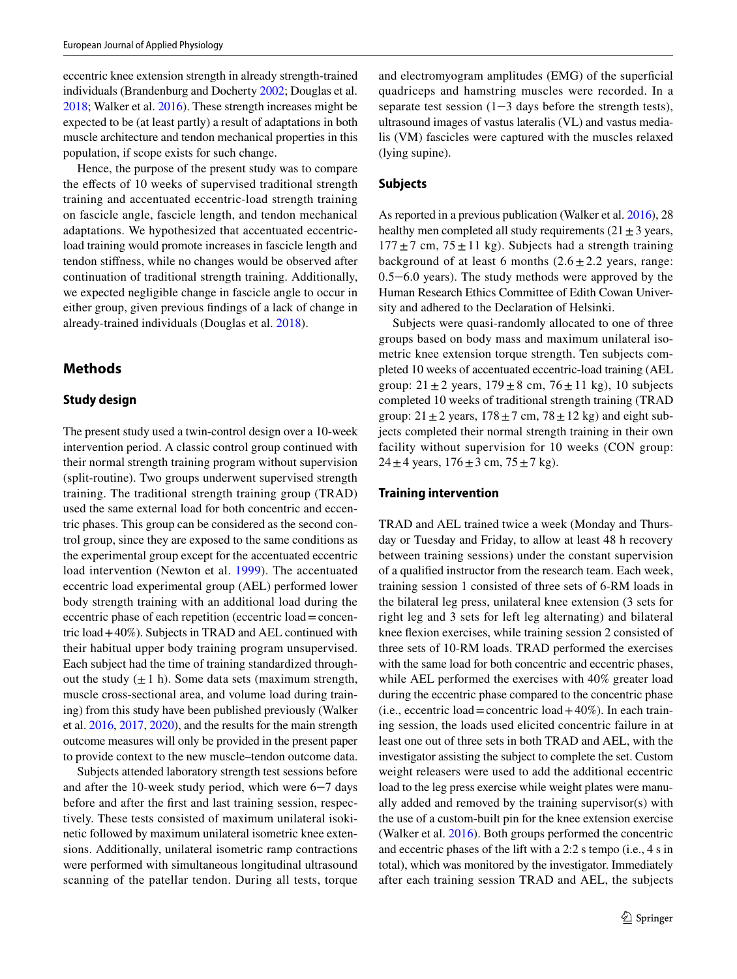eccentric knee extension strength in already strength-trained individuals (Brandenburg and Docherty [2002;](#page-12-19) Douglas et al. [2018;](#page-12-9) Walker et al. [2016\)](#page-13-5). These strength increases might be expected to be (at least partly) a result of adaptations in both muscle architecture and tendon mechanical properties in this population, if scope exists for such change.

Hence, the purpose of the present study was to compare the efects of 10 weeks of supervised traditional strength training and accentuated eccentric-load strength training on fascicle angle, fascicle length, and tendon mechanical adaptations. We hypothesized that accentuated eccentricload training would promote increases in fascicle length and tendon stifness, while no changes would be observed after continuation of traditional strength training. Additionally, we expected negligible change in fascicle angle to occur in either group, given previous fndings of a lack of change in already-trained individuals (Douglas et al. [2018\)](#page-12-9).

#### **Methods**

#### **Study design**

The present study used a twin-control design over a 10-week intervention period. A classic control group continued with their normal strength training program without supervision (split-routine). Two groups underwent supervised strength training. The traditional strength training group (TRAD) used the same external load for both concentric and eccentric phases. This group can be considered as the second control group, since they are exposed to the same conditions as the experimental group except for the accentuated eccentric load intervention (Newton et al. [1999\)](#page-12-20). The accentuated eccentric load experimental group (AEL) performed lower body strength training with an additional load during the eccentric phase of each repetition (eccentric load = concentric load+40%). Subjects in TRAD and AEL continued with their habitual upper body training program unsupervised. Each subject had the time of training standardized throughout the study  $(\pm 1 \text{ h})$ . Some data sets (maximum strength, muscle cross-sectional area, and volume load during training) from this study have been published previously (Walker et al. [2016,](#page-13-5) [2017](#page-13-6), [2020\)](#page-13-7), and the results for the main strength outcome measures will only be provided in the present paper to provide context to the new muscle–tendon outcome data.

Subjects attended laboratory strength test sessions before and after the 10-week study period, which were  $6-7$  days before and after the frst and last training session, respectively. These tests consisted of maximum unilateral isokinetic followed by maximum unilateral isometric knee extensions. Additionally, unilateral isometric ramp contractions were performed with simultaneous longitudinal ultrasound scanning of the patellar tendon. During all tests, torque and electromyogram amplitudes (EMG) of the superficial quadriceps and hamstring muscles were recorded. In a separate test session  $(1-3$  days before the strength tests), ultrasound images of vastus lateralis (VL) and vastus medialis (VM) fascicles were captured with the muscles relaxed (lying supine).

#### **Subjects**

As reported in a previous publication (Walker et al. [2016\)](#page-13-5), 28 healthy men completed all study requirements  $(21 \pm 3 \text{ years})$ ,  $177 \pm 7$  cm,  $75 \pm 11$  kg). Subjects had a strength training background of at least 6 months  $(2.6 \pm 2.2 \text{ years}, \text{ range})$ :  $0.5 - 6.0$  years). The study methods were approved by the Human Research Ethics Committee of Edith Cowan University and adhered to the Declaration of Helsinki.

Subjects were quasi-randomly allocated to one of three groups based on body mass and maximum unilateral isometric knee extension torque strength. Ten subjects completed 10 weeks of accentuated eccentric-load training (AEL group:  $21 \pm 2$  years,  $179 \pm 8$  cm,  $76 \pm 11$  kg), 10 subjects completed 10 weeks of traditional strength training (TRAD group:  $21 \pm 2$  years,  $178 \pm 7$  cm,  $78 \pm 12$  kg) and eight subjects completed their normal strength training in their own facility without supervision for 10 weeks (CON group:  $24 \pm 4$  years,  $176 \pm 3$  cm,  $75 \pm 7$  kg).

#### **Training intervention**

TRAD and AEL trained twice a week (Monday and Thursday or Tuesday and Friday, to allow at least 48 h recovery between training sessions) under the constant supervision of a qualifed instructor from the research team. Each week, training session 1 consisted of three sets of 6-RM loads in the bilateral leg press, unilateral knee extension (3 sets for right leg and 3 sets for left leg alternating) and bilateral knee fexion exercises, while training session 2 consisted of three sets of 10-RM loads. TRAD performed the exercises with the same load for both concentric and eccentric phases, while AEL performed the exercises with 40% greater load during the eccentric phase compared to the concentric phase (i.e., eccentric load = concentric load  $+40\%$ ). In each training session, the loads used elicited concentric failure in at least one out of three sets in both TRAD and AEL, with the investigator assisting the subject to complete the set. Custom weight releasers were used to add the additional eccentric load to the leg press exercise while weight plates were manually added and removed by the training supervisor(s) with the use of a custom-built pin for the knee extension exercise (Walker et al. [2016\)](#page-13-5). Both groups performed the concentric and eccentric phases of the lift with a 2:2 s tempo (i.e., 4 s in total), which was monitored by the investigator. Immediately after each training session TRAD and AEL, the subjects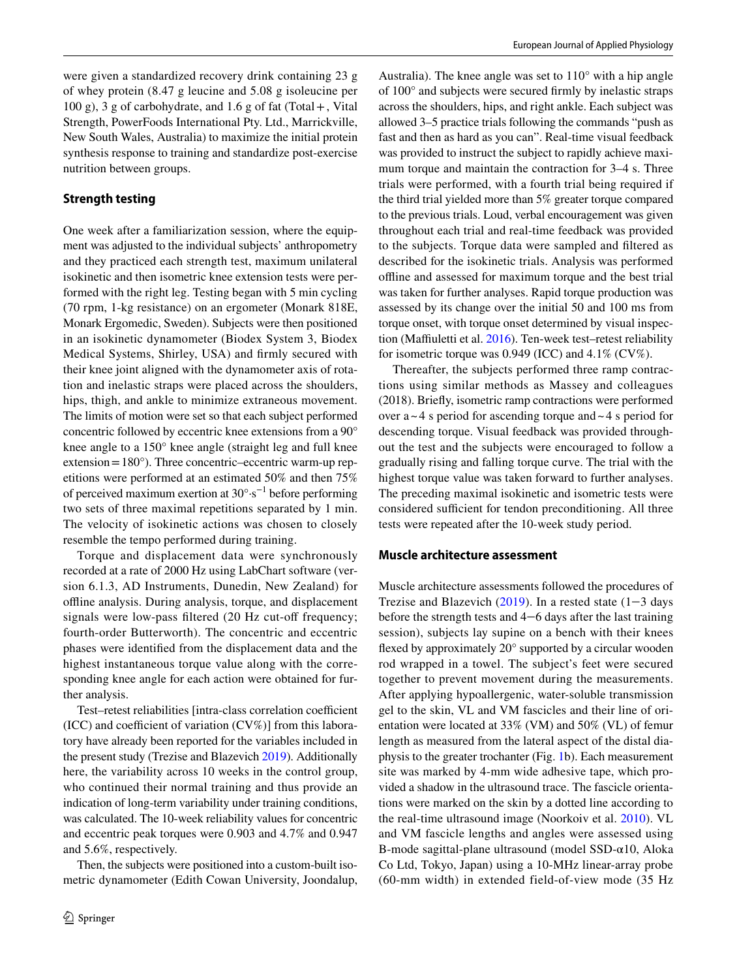were given a standardized recovery drink containing 23 g of whey protein (8.47 g leucine and 5.08 g isoleucine per  $100 \text{ g}$ ), 3 g of carbohydrate, and 1.6 g of fat (Total +, Vital Strength, PowerFoods International Pty. Ltd., Marrickville, New South Wales, Australia) to maximize the initial protein synthesis response to training and standardize post-exercise nutrition between groups.

#### **Strength testing**

One week after a familiarization session, where the equipment was adjusted to the individual subjects' anthropometry and they practiced each strength test, maximum unilateral isokinetic and then isometric knee extension tests were performed with the right leg. Testing began with 5 min cycling (70 rpm, 1-kg resistance) on an ergometer (Monark 818E, Monark Ergomedic, Sweden). Subjects were then positioned in an isokinetic dynamometer (Biodex System 3, Biodex Medical Systems, Shirley, USA) and frmly secured with their knee joint aligned with the dynamometer axis of rotation and inelastic straps were placed across the shoulders, hips, thigh, and ankle to minimize extraneous movement. The limits of motion were set so that each subject performed concentric followed by eccentric knee extensions from a 90° knee angle to a 150° knee angle (straight leg and full knee extension  $=180^{\circ}$ ). Three concentric–eccentric warm-up repetitions were performed at an estimated 50% and then 75% of perceived maximum exertion at 30°·s−1 before performing two sets of three maximal repetitions separated by 1 min. The velocity of isokinetic actions was chosen to closely resemble the tempo performed during training.

Torque and displacement data were synchronously recorded at a rate of 2000 Hz using LabChart software (version 6.1.3, AD Instruments, Dunedin, New Zealand) for ofine analysis. During analysis, torque, and displacement signals were low-pass filtered (20 Hz cut-off frequency; fourth-order Butterworth). The concentric and eccentric phases were identifed from the displacement data and the highest instantaneous torque value along with the corresponding knee angle for each action were obtained for further analysis.

Test–retest reliabilities [intra-class correlation coefficient  $(ICC)$  and coefficient of variation  $(CV\%)$  from this laboratory have already been reported for the variables included in the present study (Trezise and Blazevich [2019\)](#page-13-1). Additionally here, the variability across 10 weeks in the control group, who continued their normal training and thus provide an indication of long-term variability under training conditions, was calculated. The 10-week reliability values for concentric and eccentric peak torques were 0.903 and 4.7% and 0.947 and 5.6%, respectively.

Then, the subjects were positioned into a custom-built isometric dynamometer (Edith Cowan University, Joondalup, Australia). The knee angle was set to 110° with a hip angle of 100° and subjects were secured frmly by inelastic straps across the shoulders, hips, and right ankle. Each subject was allowed 3–5 practice trials following the commands "push as fast and then as hard as you can". Real-time visual feedback was provided to instruct the subject to rapidly achieve maximum torque and maintain the contraction for 3–4 s. Three trials were performed, with a fourth trial being required if the third trial yielded more than 5% greater torque compared to the previous trials. Loud, verbal encouragement was given throughout each trial and real-time feedback was provided to the subjects. Torque data were sampled and fltered as described for the isokinetic trials. Analysis was performed ofine and assessed for maximum torque and the best trial was taken for further analyses. Rapid torque production was assessed by its change over the initial 50 and 100 ms from torque onset, with torque onset determined by visual inspec-tion (Maffiuletti et al. [2016](#page-12-21)). Ten-week test–retest reliability for isometric torque was  $0.949$  (ICC) and  $4.1\%$  (CV%).

Thereafter, the subjects performed three ramp contractions using similar methods as Massey and colleagues (2018). Briefy, isometric ramp contractions were performed over a~4 s period for ascending torque and~4 s period for descending torque. Visual feedback was provided throughout the test and the subjects were encouraged to follow a gradually rising and falling torque curve. The trial with the highest torque value was taken forward to further analyses. The preceding maximal isokinetic and isometric tests were considered sufficient for tendon preconditioning. All three tests were repeated after the 10-week study period.

#### **Muscle architecture assessment**

Muscle architecture assessments followed the procedures of Trezise and Blazevich  $(2019)$  $(2019)$ . In a rested state  $(1-3)$  days before the strength tests and  $4-6$  days after the last training session), subjects lay supine on a bench with their knees fexed by approximately 20° supported by a circular wooden rod wrapped in a towel. The subject's feet were secured together to prevent movement during the measurements. After applying hypoallergenic, water-soluble transmission gel to the skin, VL and VM fascicles and their line of orientation were located at 33% (VM) and 50% (VL) of femur length as measured from the lateral aspect of the distal diaphysis to the greater trochanter (Fig. [1](#page-6-0)b). Each measurement site was marked by 4-mm wide adhesive tape, which provided a shadow in the ultrasound trace. The fascicle orientations were marked on the skin by a dotted line according to the real-time ultrasound image (Noorkoiv et al. [2010](#page-12-22)). VL and VM fascicle lengths and angles were assessed using B-mode sagittal-plane ultrasound (model SSD-α10, Aloka Co Ltd, Tokyo, Japan) using a 10-MHz linear-array probe (60-mm width) in extended field-of-view mode (35 Hz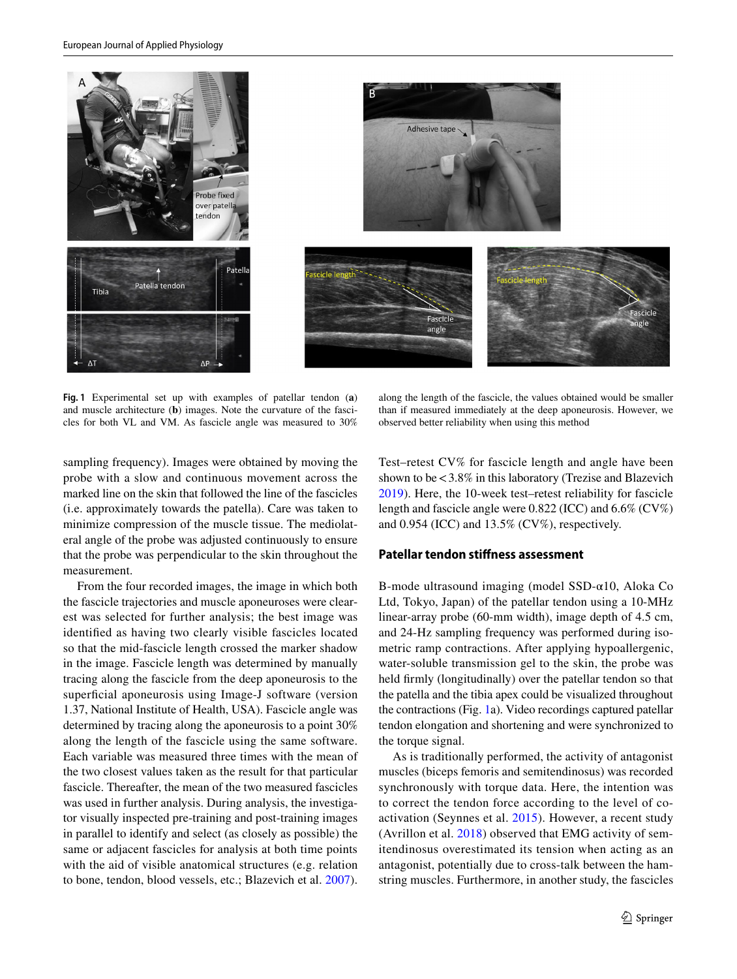

**Fig. 1** Experimental set up with examples of patellar tendon (**a**) and muscle architecture (**b**) images. Note the curvature of the fascicles for both VL and VM. As fascicle angle was measured to 30%

along the length of the fascicle, the values obtained would be smaller than if measured immediately at the deep aponeurosis. However, we observed better reliability when using this method

<span id="page-6-0"></span>sampling frequency). Images were obtained by moving the probe with a slow and continuous movement across the marked line on the skin that followed the line of the fascicles (i.e. approximately towards the patella). Care was taken to minimize compression of the muscle tissue. The mediolateral angle of the probe was adjusted continuously to ensure that the probe was perpendicular to the skin throughout the measurement.

From the four recorded images, the image in which both the fascicle trajectories and muscle aponeuroses were clearest was selected for further analysis; the best image was identifed as having two clearly visible fascicles located so that the mid-fascicle length crossed the marker shadow in the image. Fascicle length was determined by manually tracing along the fascicle from the deep aponeurosis to the superficial aponeurosis using Image-J software (version 1.37, National Institute of Health, USA). Fascicle angle was determined by tracing along the aponeurosis to a point 30% along the length of the fascicle using the same software. Each variable was measured three times with the mean of the two closest values taken as the result for that particular fascicle. Thereafter, the mean of the two measured fascicles was used in further analysis. During analysis, the investigator visually inspected pre-training and post-training images in parallel to identify and select (as closely as possible) the same or adjacent fascicles for analysis at both time points with the aid of visible anatomical structures (e.g. relation to bone, tendon, blood vessels, etc.; Blazevich et al. [2007](#page-12-23)).

Test–retest CV% for fascicle length and angle have been shown to be  $<$  3.8% in this laboratory (Trezise and Blazevich [2019](#page-13-1)). Here, the 10-week test–retest reliability for fascicle length and fascicle angle were 0.822 (ICC) and 6.6% (CV%) and 0.954 (ICC) and 13.5% (CV%), respectively.

#### **Patellar tendon stifness assessment**

B-mode ultrasound imaging (model SSD-α10, Aloka Co Ltd, Tokyo, Japan) of the patellar tendon using a 10-MHz linear-array probe (60-mm width), image depth of 4.5 cm, and 24-Hz sampling frequency was performed during isometric ramp contractions. After applying hypoallergenic, water-soluble transmission gel to the skin, the probe was held frmly (longitudinally) over the patellar tendon so that the patella and the tibia apex could be visualized throughout the contractions (Fig. [1a](#page-6-0)). Video recordings captured patellar tendon elongation and shortening and were synchronized to the torque signal.

As is traditionally performed, the activity of antagonist muscles (biceps femoris and semitendinosus) was recorded synchronously with torque data. Here, the intention was to correct the tendon force according to the level of coactivation (Seynnes et al. [2015\)](#page-13-8). However, a recent study (Avrillon et al. [2018](#page-12-24)) observed that EMG activity of semitendinosus overestimated its tension when acting as an antagonist, potentially due to cross-talk between the hamstring muscles. Furthermore, in another study, the fascicles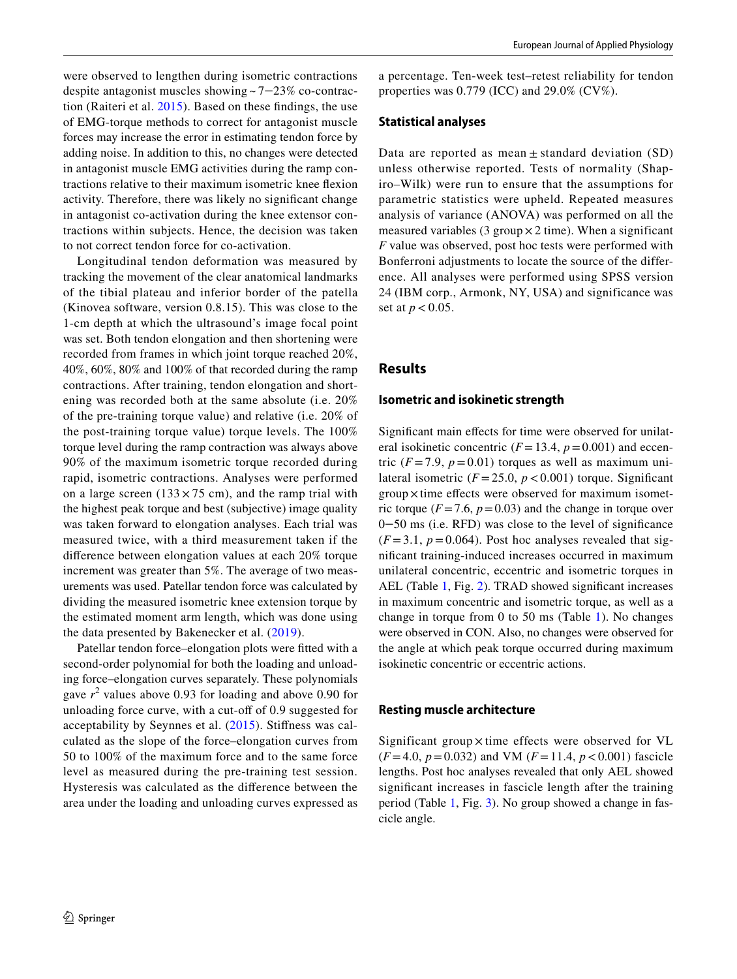were observed to lengthen during isometric contractions despite antagonist muscles showing  $\sim$  7–23% co-contraction (Raiteri et al. [2015\)](#page-13-9). Based on these fndings, the use of EMG-torque methods to correct for antagonist muscle forces may increase the error in estimating tendon force by adding noise. In addition to this, no changes were detected in antagonist muscle EMG activities during the ramp contractions relative to their maximum isometric knee fexion activity. Therefore, there was likely no signifcant change in antagonist co-activation during the knee extensor contractions within subjects. Hence, the decision was taken to not correct tendon force for co-activation.

Longitudinal tendon deformation was measured by tracking the movement of the clear anatomical landmarks of the tibial plateau and inferior border of the patella (Kinovea software, version 0.8.15). This was close to the 1-cm depth at which the ultrasound's image focal point was set. Both tendon elongation and then shortening were recorded from frames in which joint torque reached 20%, 40%, 60%, 80% and 100% of that recorded during the ramp contractions. After training, tendon elongation and shortening was recorded both at the same absolute (i.e. 20% of the pre-training torque value) and relative (i.e. 20% of the post-training torque value) torque levels. The 100% torque level during the ramp contraction was always above 90% of the maximum isometric torque recorded during rapid, isometric contractions. Analyses were performed on a large screen (133 $\times$ 75 cm), and the ramp trial with the highest peak torque and best (subjective) image quality was taken forward to elongation analyses. Each trial was measured twice, with a third measurement taken if the diference between elongation values at each 20% torque increment was greater than 5%. The average of two measurements was used. Patellar tendon force was calculated by dividing the measured isometric knee extension torque by the estimated moment arm length, which was done using the data presented by Bakenecker et al. [\(2019](#page-12-25)).

Patellar tendon force–elongation plots were ftted with a second-order polynomial for both the loading and unloading force–elongation curves separately. These polynomials gave  $r^2$  values above 0.93 for loading and above 0.90 for unloading force curve, with a cut-off of 0.9 suggested for acceptability by Seynnes et al. ([2015\)](#page-13-8). Stifness was calculated as the slope of the force–elongation curves from 50 to 100% of the maximum force and to the same force level as measured during the pre-training test session. Hysteresis was calculated as the diference between the area under the loading and unloading curves expressed as

a percentage. Ten-week test–retest reliability for tendon properties was 0.779 (ICC) and 29.0% (CV%).

#### **Statistical analyses**

Data are reported as mean  $\pm$  standard deviation (SD) unless otherwise reported. Tests of normality (Shapiro–Wilk) were run to ensure that the assumptions for parametric statistics were upheld. Repeated measures analysis of variance (ANOVA) was performed on all the measured variables (3 group  $\times$  2 time). When a significant *F* value was observed, post hoc tests were performed with Bonferroni adjustments to locate the source of the difference. All analyses were performed using SPSS version 24 (IBM corp., Armonk, NY, USA) and significance was set at *p* < 0.05.

#### **Results**

#### **Isometric and isokinetic strength**

Signifcant main efects for time were observed for unilateral isokinetic concentric  $(F = 13.4, p = 0.001)$  and eccentric  $(F = 7.9, p = 0.01)$  torques as well as maximum unilateral isometric  $(F = 25.0, p < 0.001)$  torque. Significant  $group \times time$  effects were observed for maximum isometric torque  $(F = 7.6, p = 0.03)$  and the change in torque over 0‒50 ms (i.e. RFD) was close to the level of signifcance  $(F=3.1, p=0.064)$ . Post hoc analyses revealed that signifcant training-induced increases occurred in maximum unilateral concentric, eccentric and isometric torques in AEL (Table [1](#page-8-0), Fig. [2\)](#page-8-1). TRAD showed signifcant increases in maximum concentric and isometric torque, as well as a change in torque from 0 to 50 ms (Table [1](#page-8-0)). No changes were observed in CON. Also, no changes were observed for the angle at which peak torque occurred during maximum isokinetic concentric or eccentric actions.

#### **Resting muscle architecture**

Significant group × time effects were observed for VL (*F*=4.0, *p*=0.032) and VM (*F*=11.4, *p*<0.001) fascicle lengths. Post hoc analyses revealed that only AEL showed signifcant increases in fascicle length after the training period (Table [1,](#page-8-0) Fig. [3\)](#page-9-0). No group showed a change in fascicle angle.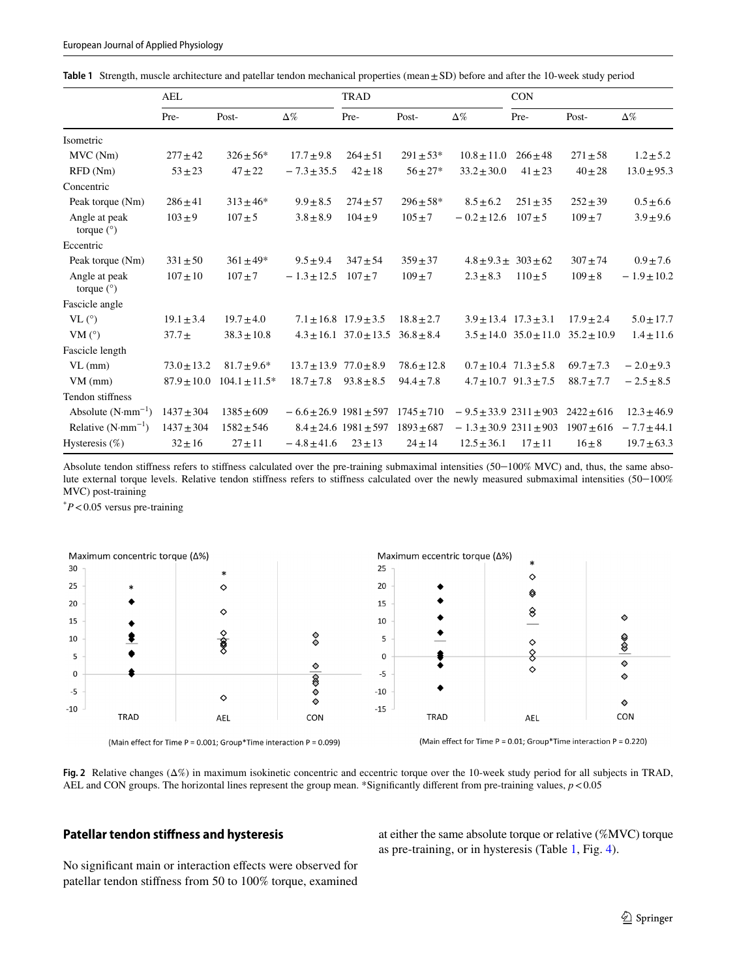<span id="page-8-0"></span>

|  |  | Table 1 Strength, muscle architecture and patellar tendon mechanical properties (mean ± SD) before and after the 10-week study period |  |  |  |  |  |  |
|--|--|---------------------------------------------------------------------------------------------------------------------------------------|--|--|--|--|--|--|
|--|--|---------------------------------------------------------------------------------------------------------------------------------------|--|--|--|--|--|--|

|                                      | <b>AEL</b>      |                   |                                | TRAD                           |                 |                                | <b>CON</b>                     |                 |                 |
|--------------------------------------|-----------------|-------------------|--------------------------------|--------------------------------|-----------------|--------------------------------|--------------------------------|-----------------|-----------------|
|                                      | Pre-            | Post-             | $\Delta\%$                     | Pre-                           | Post-           | $\Delta\%$                     | Pre-                           | Post-           | $\Delta\%$      |
| Isometric                            |                 |                   |                                |                                |                 |                                |                                |                 |                 |
| MVC(Nm)                              | $277 + 42$      | $326 \pm 56*$     | $17.7 \pm 9.8$                 | $264 \pm 51$                   | $291 \pm 53*$   | $10.8 + 11.0$                  | $266 \pm 48$                   | $271 \pm 58$    | $1.2 \pm 5.2$   |
| RFD(Nm)                              | $53 + 23$       | $47 + 22$         | $-7.3 \pm 35.5$                | $42 \pm 18$                    | $56 \pm 27*$    | $33.2 \pm 30.0$                | $41 \pm 23$                    | $40 \pm 28$     | $13.0 \pm 95.3$ |
| Concentric                           |                 |                   |                                |                                |                 |                                |                                |                 |                 |
| Peak torque (Nm)                     | $286 \pm 41$    | $313 \pm 46*$     | $9.9 \pm 8.5$                  | $274 + 57$                     | $296 \pm 58*$   | $8.5 \pm 6.2$                  | $251 \pm 35$                   | $252 \pm 39$    | $0.5 \pm 6.6$   |
| Angle at peak<br>torque $(^{\circ})$ | $103 + 9$       | $107 + 5$         | $3.8 \pm 8.9$                  | $104 + 9$                      | $105 \pm 7$     | $-0.2 \pm 12.6$                | $107 + 5$                      | $109 + 7$       | $3.9 + 9.6$     |
| Eccentric                            |                 |                   |                                |                                |                 |                                |                                |                 |                 |
| Peak torque (Nm)                     | $331 + 50$      | $361 \pm 49*$     | $9.5 \pm 9.4$                  | $347 + 54$                     | $359 \pm 37$    |                                | $4.8 \pm 9.3 \pm 303 \pm 62$   | $307 + 74$      | $0.9 \pm 7.6$   |
| Angle at peak<br>torque $(^\circ)$   | $107 \pm 10$    | $107 + 7$         | $-1.3 \pm 12.5$                | $107 + 7$                      | $109 + 7$       | $2.3 \pm 8.3$                  | $110 \pm 5$                    | $109 + 8$       | $-1.9 \pm 10.2$ |
| Fascicle angle                       |                 |                   |                                |                                |                 |                                |                                |                 |                 |
| $VL(^{\circ})$                       | $19.1 \pm 3.4$  | $19.7 \pm 4.0$    |                                | $7.1 \pm 16.8$ $17.9 \pm 3.5$  | $18.8 \pm 2.7$  |                                | $3.9 \pm 13.4$ $17.3 \pm 3.1$  | $17.9 \pm 2.4$  | $5.0 \pm 17.7$  |
| VM $(^\circ)$                        | $37.7 +$        | $38.3 \pm 10.8$   |                                | $4.3 \pm 16.1$ $37.0 \pm 13.5$ | $36.8 \pm 8.4$  |                                | $3.5 \pm 14.0$ $35.0 \pm 11.0$ | $35.2 \pm 10.9$ | $1.4 \pm 11.6$  |
| Fascicle length                      |                 |                   |                                |                                |                 |                                |                                |                 |                 |
| $VL$ (mm)                            | $73.0 \pm 13.2$ | $81.7 \pm 9.6*$   | $13.7 \pm 13.9$ $77.0 \pm 8.9$ |                                | $78.6 \pm 12.8$ |                                | $0.7 \pm 10.4$ $71.3 \pm 5.8$  | $69.7 \pm 7.3$  | $-2.0 \pm 9.3$  |
| $VM$ (mm)                            | $87.9 \pm 10.0$ | $104.1 \pm 11.5*$ | $18.7 \pm 7.8$                 | $93.8 \pm 8.5$                 | $94.4 \pm 7.8$  |                                | $4.7 \pm 10.7$ $91.3 \pm 7.5$  | $88.7 \pm 7.7$  | $-2.5 \pm 8.5$  |
| Tendon stiffness                     |                 |                   |                                |                                |                 |                                |                                |                 |                 |
| Absolute $(N \cdot mm^{-1})$         | $1437 \pm 304$  | $1385 \pm 609$    | $-6.6 \pm 26.9$ 1981 $\pm$ 597 |                                | $1745 \pm 710$  | $-9.5 \pm 33.9$ 2311 $\pm 903$ |                                | $2422 \pm 616$  | $12.3 \pm 46.9$ |
| Relative $(N \cdot mm^{-1})$         | $1437 \pm 304$  | $1582 \pm 546$    |                                | $8.4 \pm 24.6$ 1981 $\pm$ 597  | $1893 \pm 687$  | $-1.3 \pm 30.9$ 2311 $\pm 903$ |                                | $1907 \pm 616$  | $-7.7 \pm 44.1$ |
| Hysteresis $(\%)$                    | $32 \pm 16$     | $27 \pm 11$       | $-4.8 + 41.6$                  | $23 + 13$                      | $24 \pm 14$     | $12.5 \pm 36.1$                | $17 + 11$                      | $16\pm 8$       | $19.7 \pm 63.3$ |

Absolute tendon stiffness refers to stiffness calculated over the pre-training submaximal intensities (50-100% MVC) and, thus, the same absolute external torque levels. Relative tendon stiffness refers to stiffness calculated over the newly measured submaximal intensities (50-100%) MVC) post-training

\* *P*<0.05 versus pre-training



(Main effect for Time  $P = 0.001$ ; Group\*Time interaction  $P = 0.099$ )

(Main effect for Time P = 0.01; Group\*Time interaction P = 0.220)

<span id="page-8-1"></span>**Fig. 2** Relative changes (Δ%) in maximum isokinetic concentric and eccentric torque over the 10-week study period for all subjects in TRAD, AEL and CON groups. The horizontal lines represent the group mean. \*Significantly different from pre-training values,  $p < 0.05$ 

#### **Patellar tendon stifness and hysteresis**

No signifcant main or interaction efects were observed for patellar tendon stifness from 50 to 100% torque, examined at either the same absolute torque or relative (%MVC) torque as pre-training, or in hysteresis (Table [1](#page-8-0), Fig. [4\)](#page-9-1).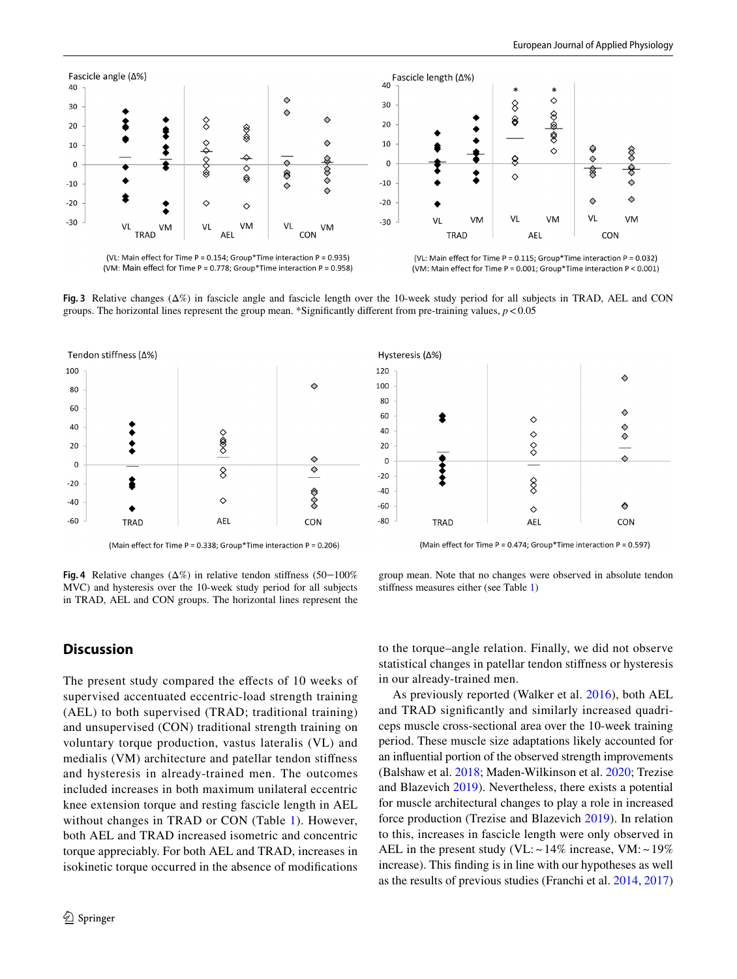

(VL: Main effect for Time P = 0.154; Group\*Time interaction P = 0.935) (VM: Main effect for Time P = 0.778; Group\*Time interaction P = 0.958)

(VL: Main effect for Time P = 0.115; Group\*Time interaction P = 0.032) (VM: Main effect for Time P = 0.001; Group\*Time interaction P < 0.001)

<span id="page-9-0"></span>**Fig. 3** Relative changes (Δ%) in fascicle angle and fascicle length over the 10-week study period for all subjects in TRAD, AEL and CON groups. The horizontal lines represent the group mean. \*Significantly different from pre-training values,  $p < 0.05$ 



(Main effect for Time P = 0.338; Group\*Time interaction P = 0.206)

<span id="page-9-1"></span>**Fig. 4** Relative changes  $(\Delta\%)$  in relative tendon stiffness  $(50-100\%)$ MVC) and hysteresis over the 10-week study period for all subjects in TRAD, AEL and CON groups. The horizontal lines represent the



(Main effect for Time P = 0.474; Group\*Time interaction P = 0.597)

group mean. Note that no changes were observed in absolute tendon stifness measures either (see Table [1\)](#page-8-0)

#### **Discussion**

The present study compared the effects of 10 weeks of supervised accentuated eccentric-load strength training (AEL) to both supervised (TRAD; traditional training) and unsupervised (CON) traditional strength training on voluntary torque production, vastus lateralis (VL) and medialis (VM) architecture and patellar tendon stifness and hysteresis in already-trained men. The outcomes included increases in both maximum unilateral eccentric knee extension torque and resting fascicle length in AEL without changes in TRAD or CON (Table [1\)](#page-8-0). However, both AEL and TRAD increased isometric and concentric torque appreciably. For both AEL and TRAD, increases in isokinetic torque occurred in the absence of modifcations to the torque–angle relation. Finally, we did not observe statistical changes in patellar tendon stifness or hysteresis in our already-trained men.

As previously reported (Walker et al. [2016](#page-13-5)), both AEL and TRAD signifcantly and similarly increased quadriceps muscle cross-sectional area over the 10-week training period. These muscle size adaptations likely accounted for an infuential portion of the observed strength improvements (Balshaw et al. [2018;](#page-12-26) Maden-Wilkinson et al. [2020;](#page-12-27) Trezise and Blazevich [2019\)](#page-13-1). Nevertheless, there exists a potential for muscle architectural changes to play a role in increased force production (Trezise and Blazevich [2019](#page-13-1)). In relation to this, increases in fascicle length were only observed in AEL in the present study (VL:  $\sim$  14% increase, VM:  $\sim$  19% increase). This fnding is in line with our hypotheses as well as the results of previous studies (Franchi et al. [2014](#page-12-8), [2017\)](#page-12-11)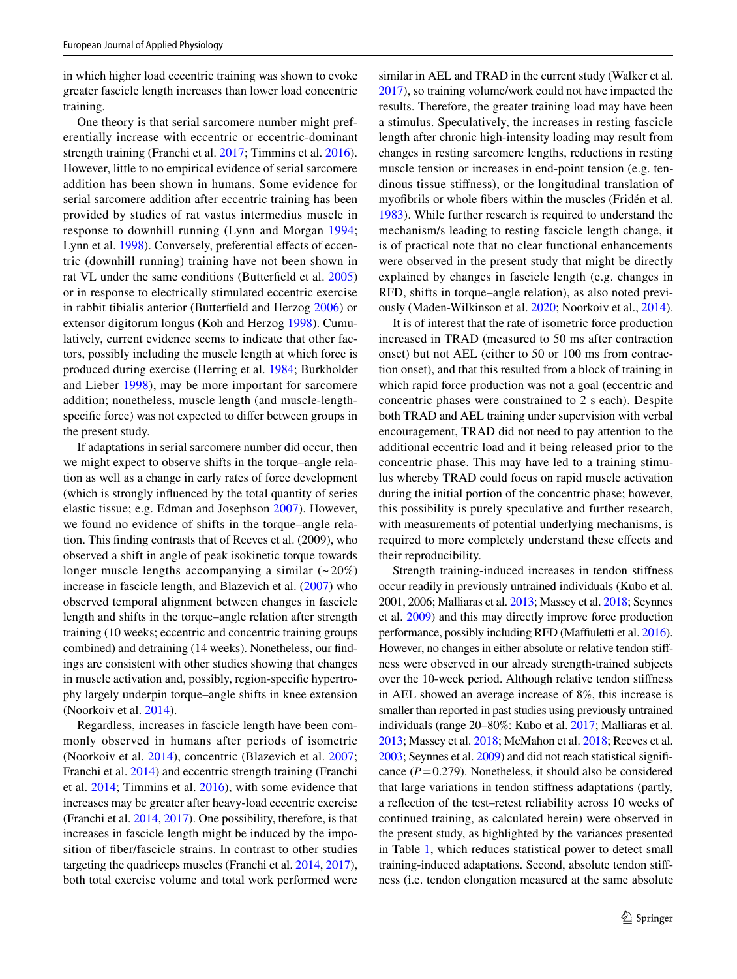in which higher load eccentric training was shown to evoke greater fascicle length increases than lower load concentric training.

One theory is that serial sarcomere number might preferentially increase with eccentric or eccentric-dominant strength training (Franchi et al. [2017;](#page-12-11) Timmins et al. [2016](#page-13-4)). However, little to no empirical evidence of serial sarcomere addition has been shown in humans. Some evidence for serial sarcomere addition after eccentric training has been provided by studies of rat vastus intermedius muscle in response to downhill running (Lynn and Morgan [1994](#page-12-28); Lynn et al. [1998](#page-12-29)). Conversely, preferential effects of eccentric (downhill running) training have not been shown in rat VL under the same conditions (Butterfeld et al. [2005\)](#page-12-30) or in response to electrically stimulated eccentric exercise in rabbit tibialis anterior (Butterfeld and Herzog [2006](#page-12-31)) or extensor digitorum longus (Koh and Herzog [1998\)](#page-12-32). Cumulatively, current evidence seems to indicate that other factors, possibly including the muscle length at which force is produced during exercise (Herring et al. [1984;](#page-12-33) Burkholder and Lieber [1998](#page-12-34)), may be more important for sarcomere addition; nonetheless, muscle length (and muscle-lengthspecifc force) was not expected to difer between groups in the present study.

If adaptations in serial sarcomere number did occur, then we might expect to observe shifts in the torque–angle relation as well as a change in early rates of force development (which is strongly infuenced by the total quantity of series elastic tissue; e.g. Edman and Josephson [2007](#page-12-35)). However, we found no evidence of shifts in the torque–angle relation. This fnding contrasts that of Reeves et al. (2009), who observed a shift in angle of peak isokinetic torque towards longer muscle lengths accompanying a similar  $(-20\%)$ increase in fascicle length, and Blazevich et al. ([2007\)](#page-12-23) who observed temporal alignment between changes in fascicle length and shifts in the torque–angle relation after strength training (10 weeks; eccentric and concentric training groups combined) and detraining (14 weeks). Nonetheless, our fndings are consistent with other studies showing that changes in muscle activation and, possibly, region-specifc hypertrophy largely underpin torque–angle shifts in knee extension (Noorkoiv et al. [2014](#page-12-36)).

Regardless, increases in fascicle length have been commonly observed in humans after periods of isometric (Noorkoiv et al. [2014](#page-12-36)), concentric (Blazevich et al. [2007](#page-12-23); Franchi et al. [2014\)](#page-12-8) and eccentric strength training (Franchi et al. [2014;](#page-12-8) Timmins et al. [2016\)](#page-13-4), with some evidence that increases may be greater after heavy-load eccentric exercise (Franchi et al. [2014,](#page-12-8) [2017](#page-12-11)). One possibility, therefore, is that increases in fascicle length might be induced by the imposition of fber/fascicle strains. In contrast to other studies targeting the quadriceps muscles (Franchi et al. [2014,](#page-12-8) [2017](#page-12-11)), both total exercise volume and total work performed were

similar in AEL and TRAD in the current study (Walker et al. [2017](#page-13-6)), so training volume/work could not have impacted the results. Therefore, the greater training load may have been a stimulus. Speculatively, the increases in resting fascicle length after chronic high-intensity loading may result from changes in resting sarcomere lengths, reductions in resting muscle tension or increases in end-point tension (e.g. tendinous tissue stifness), or the longitudinal translation of myofbrils or whole fbers within the muscles (Fridén et al. [1983](#page-12-37)). While further research is required to understand the mechanism/s leading to resting fascicle length change, it is of practical note that no clear functional enhancements were observed in the present study that might be directly explained by changes in fascicle length (e.g. changes in RFD, shifts in torque–angle relation), as also noted previously (Maden-Wilkinson et al. [2020](#page-12-27); Noorkoiv et al., [2014](#page-12-36)).

It is of interest that the rate of isometric force production increased in TRAD (measured to 50 ms after contraction onset) but not AEL (either to 50 or 100 ms from contraction onset), and that this resulted from a block of training in which rapid force production was not a goal (eccentric and concentric phases were constrained to 2 s each). Despite both TRAD and AEL training under supervision with verbal encouragement, TRAD did not need to pay attention to the additional eccentric load and it being released prior to the concentric phase. This may have led to a training stimulus whereby TRAD could focus on rapid muscle activation during the initial portion of the concentric phase; however, this possibility is purely speculative and further research, with measurements of potential underlying mechanisms, is required to more completely understand these efects and their reproducibility.

Strength training-induced increases in tendon stifness occur readily in previously untrained individuals (Kubo et al. 2001, 2006; Malliaras et al. [2013;](#page-12-15) Massey et al. [2018](#page-12-12); Seynnes et al. [2009\)](#page-13-0) and this may directly improve force production performance, possibly including RFD (Maffiuletti et al. [2016\)](#page-12-21). However, no changes in either absolute or relative tendon stifness were observed in our already strength-trained subjects over the 10-week period. Although relative tendon stifness in AEL showed an average increase of 8%, this increase is smaller than reported in past studies using previously untrained individuals (range 20–80%: Kubo et al. [2017](#page-12-38); Malliaras et al. [2013;](#page-12-15) Massey et al. [2018;](#page-12-12) McMahon et al. [2018;](#page-12-16) Reeves et al. [2003;](#page-13-10) Seynnes et al. [2009\)](#page-13-0) and did not reach statistical signifcance  $(P=0.279)$ . Nonetheless, it should also be considered that large variations in tendon stifness adaptations (partly, a refection of the test–retest reliability across 10 weeks of continued training, as calculated herein) were observed in the present study, as highlighted by the variances presented in Table [1,](#page-8-0) which reduces statistical power to detect small training-induced adaptations. Second, absolute tendon stifness (i.e. tendon elongation measured at the same absolute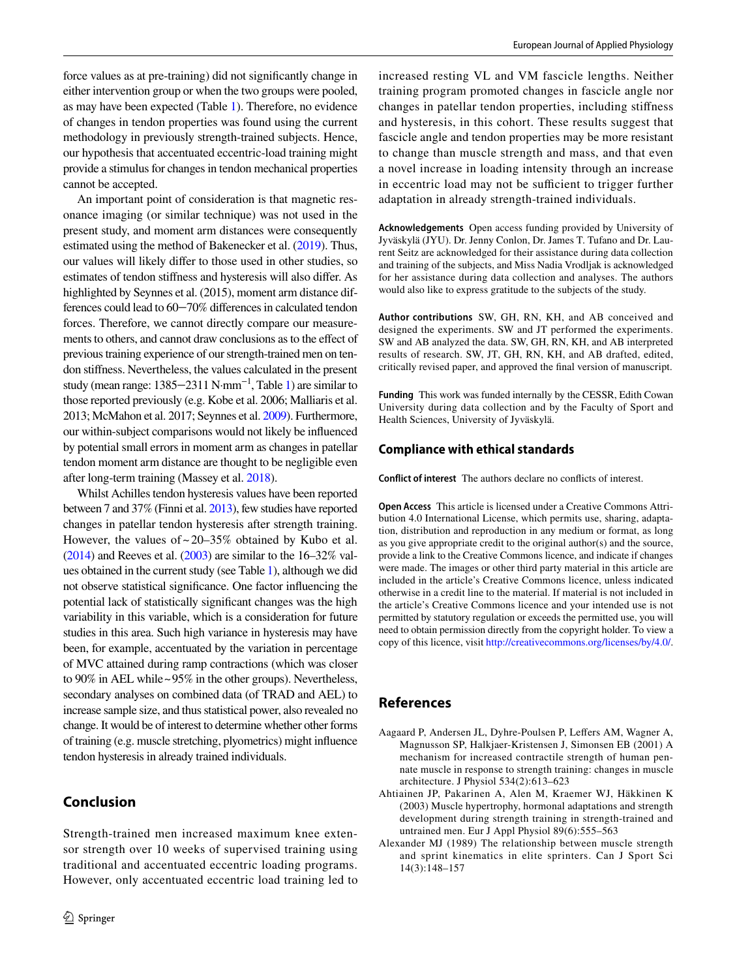force values as at pre-training) did not signifcantly change in either intervention group or when the two groups were pooled, as may have been expected (Table [1](#page-8-0)). Therefore, no evidence of changes in tendon properties was found using the current methodology in previously strength-trained subjects. Hence, our hypothesis that accentuated eccentric-load training might provide a stimulus for changes in tendon mechanical properties cannot be accepted.

An important point of consideration is that magnetic resonance imaging (or similar technique) was not used in the present study, and moment arm distances were consequently estimated using the method of Bakenecker et al. [\(2019](#page-12-25)). Thus, our values will likely difer to those used in other studies, so estimates of tendon stifness and hysteresis will also difer. As highlighted by Seynnes et al. (2015), moment arm distance differences could lead to 60–70% differences in calculated tendon forces. Therefore, we cannot directly compare our measurements to others, and cannot draw conclusions as to the efect of previous training experience of our strength-trained men on tendon stifness. Nevertheless, the values calculated in the present study (mean range:  $1385-2311 \text{ N} \cdot \text{mm}^{-1}$ , Table [1](#page-8-0)) are similar to those reported previously (e.g. Kobe et al. 2006; Malliaris et al. 2013; McMahon et al. 2017; Seynnes et al. [2009\)](#page-13-0). Furthermore, our within-subject comparisons would not likely be infuenced by potential small errors in moment arm as changes in patellar tendon moment arm distance are thought to be negligible even after long-term training (Massey et al. [2018\)](#page-12-12).

Whilst Achilles tendon hysteresis values have been reported between 7 and 37% (Finni et al. [2013\)](#page-12-39), few studies have reported changes in patellar tendon hysteresis after strength training. However, the values of  $\sim$  20–35% obtained by Kubo et al. [\(2014](#page-12-40)) and Reeves et al. [\(2003](#page-13-10)) are similar to the 16–32% values obtained in the current study (see Table [1\)](#page-8-0), although we did not observe statistical signifcance. One factor infuencing the potential lack of statistically signifcant changes was the high variability in this variable, which is a consideration for future studies in this area. Such high variance in hysteresis may have been, for example, accentuated by the variation in percentage of MVC attained during ramp contractions (which was closer to 90% in AEL while~95% in the other groups). Nevertheless, secondary analyses on combined data (of TRAD and AEL) to increase sample size, and thus statistical power, also revealed no change. It would be of interest to determine whether other forms of training (e.g. muscle stretching, plyometrics) might infuence tendon hysteresis in already trained individuals.

### **Conclusion**

Strength-trained men increased maximum knee extensor strength over 10 weeks of supervised training using traditional and accentuated eccentric loading programs. However, only accentuated eccentric load training led to

increased resting VL and VM fascicle lengths. Neither training program promoted changes in fascicle angle nor changes in patellar tendon properties, including stifness and hysteresis, in this cohort. These results suggest that fascicle angle and tendon properties may be more resistant to change than muscle strength and mass, and that even a novel increase in loading intensity through an increase in eccentric load may not be sufficient to trigger further adaptation in already strength-trained individuals.

**Acknowledgements** Open access funding provided by University of Jyväskylä (JYU). Dr. Jenny Conlon, Dr. James T. Tufano and Dr. Laurent Seitz are acknowledged for their assistance during data collection and training of the subjects, and Miss Nadia Vrodljak is acknowledged for her assistance during data collection and analyses. The authors would also like to express gratitude to the subjects of the study.

**Author contributions** SW, GH, RN, KH, and AB conceived and designed the experiments. SW and JT performed the experiments. SW and AB analyzed the data. SW, GH, RN, KH, and AB interpreted results of research. SW, JT, GH, RN, KH, and AB drafted, edited, critically revised paper, and approved the fnal version of manuscript.

**Funding** This work was funded internally by the CESSR, Edith Cowan University during data collection and by the Faculty of Sport and Health Sciences, University of Jyväskylä.

#### **Compliance with ethical standards**

**Conflict of interest** The authors declare no conficts of interest.

**Open Access** This article is licensed under a Creative Commons Attribution 4.0 International License, which permits use, sharing, adaptation, distribution and reproduction in any medium or format, as long as you give appropriate credit to the original author(s) and the source, provide a link to the Creative Commons licence, and indicate if changes were made. The images or other third party material in this article are included in the article's Creative Commons licence, unless indicated otherwise in a credit line to the material. If material is not included in the article's Creative Commons licence and your intended use is not permitted by statutory regulation or exceeds the permitted use, you will need to obtain permission directly from the copyright holder. To view a copy of this licence, visit<http://creativecommons.org/licenses/by/4.0/>.

#### **References**

- <span id="page-11-0"></span>Aagaard P, Andersen JL, Dyhre-Poulsen P, Lefers AM, Wagner A, Magnusson SP, Halkjaer-Kristensen J, Simonsen EB (2001) A mechanism for increased contractile strength of human pennate muscle in response to strength training: changes in muscle architecture. J Physiol 534(2):613–623
- Ahtiainen JP, Pakarinen A, Alen M, Kraemer WJ, Häkkinen K (2003) Muscle hypertrophy, hormonal adaptations and strength development during strength training in strength-trained and untrained men. Eur J Appl Physiol 89(6):555–563
- Alexander MJ (1989) The relationship between muscle strength and sprint kinematics in elite sprinters. Can J Sport Sci 14(3):148–157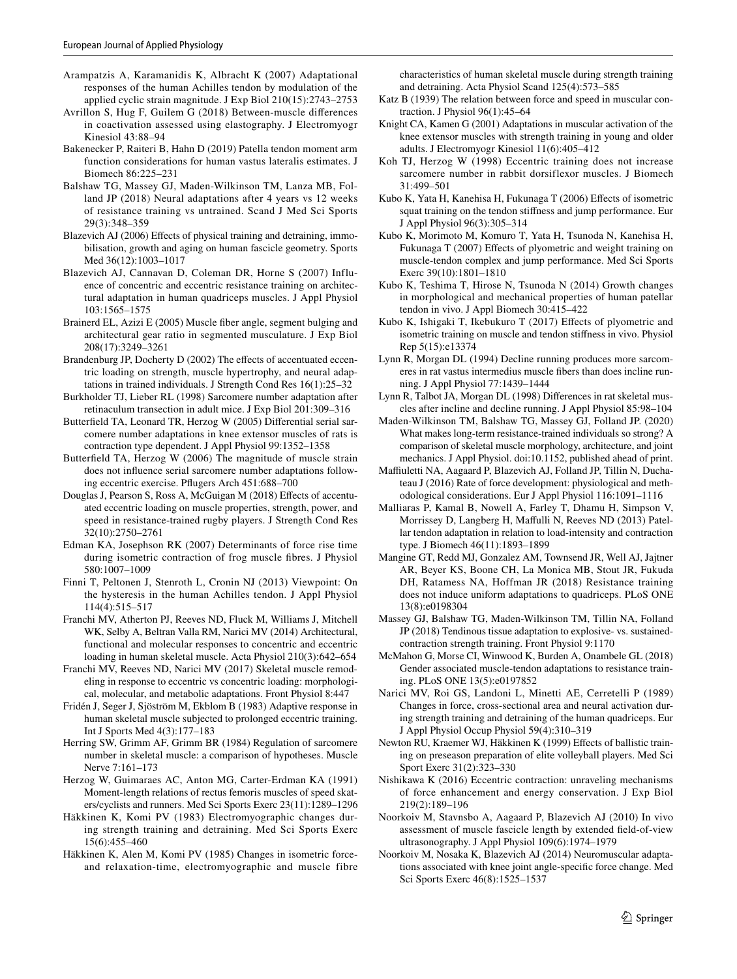- <span id="page-12-13"></span>Arampatzis A, Karamanidis K, Albracht K (2007) Adaptational responses of the human Achilles tendon by modulation of the applied cyclic strain magnitude. J Exp Biol 210(15):2743–2753
- <span id="page-12-24"></span>Avrillon S, Hug F, Guilem G (2018) Between-muscle diferences in coactivation assessed using elastography. J Electromyogr Kinesiol 43:88–94
- <span id="page-12-25"></span>Bakenecker P, Raiteri B, Hahn D (2019) Patella tendon moment arm function considerations for human vastus lateralis estimates. J Biomech 86:225–231
- <span id="page-12-26"></span>Balshaw TG, Massey GJ, Maden-Wilkinson TM, Lanza MB, Folland JP (2018) Neural adaptations after 4 years vs 12 weeks of resistance training vs untrained. Scand J Med Sci Sports 29(3):348–359
- <span id="page-12-6"></span>Blazevich AJ (2006) Effects of physical training and detraining, immobilisation, growth and aging on human fascicle geometry. Sports Med 36(12):1003–1017
- <span id="page-12-23"></span>Blazevich AJ, Cannavan D, Coleman DR, Horne S (2007) Influence of concentric and eccentric resistance training on architectural adaptation in human quadriceps muscles. J Appl Physiol 103:1565–1575
- <span id="page-12-5"></span>Brainerd EL, Azizi E (2005) Muscle fber angle, segment bulging and architectural gear ratio in segmented musculature. J Exp Biol 208(17):3249–3261
- <span id="page-12-19"></span>Brandenburg JP, Docherty D (2002) The effects of accentuated eccentric loading on strength, muscle hypertrophy, and neural adaptations in trained individuals. J Strength Cond Res 16(1):25–32
- <span id="page-12-34"></span>Burkholder TJ, Lieber RL (1998) Sarcomere number adaptation after retinaculum transection in adult mice. J Exp Biol 201:309–316
- <span id="page-12-30"></span>Butterfeld TA, Leonard TR, Herzog W (2005) Diferential serial sarcomere number adaptations in knee extensor muscles of rats is contraction type dependent. J Appl Physiol 99:1352–1358
- <span id="page-12-31"></span>Butterfeld TA, Herzog W (2006) The magnitude of muscle strain does not infuence serial sarcomere number adaptations following eccentric exercise. Pfugers Arch 451:688–700
- <span id="page-12-9"></span>Douglas J, Pearson S, Ross A, McGuigan M (2018) Effects of accentuated eccentric loading on muscle properties, strength, power, and speed in resistance-trained rugby players. J Strength Cond Res 32(10):2750–2761
- <span id="page-12-35"></span>Edman KA, Josephson RK (2007) Determinants of force rise time during isometric contraction of frog muscle fbres. J Physiol 580:1007–1009
- <span id="page-12-39"></span>Finni T, Peltonen J, Stenroth L, Cronin NJ (2013) Viewpoint: On the hysteresis in the human Achilles tendon. J Appl Physiol 114(4):515–517
- <span id="page-12-8"></span>Franchi MV, Atherton PJ, Reeves ND, Fluck M, Williams J, Mitchell WK, Selby A, Beltran Valla RM, Narici MV (2014) Architectural, functional and molecular responses to concentric and eccentric loading in human skeletal muscle. Acta Physiol 210(3):642–654
- <span id="page-12-11"></span>Franchi MV, Reeves ND, Narici MV (2017) Skeletal muscle remodeling in response to eccentric vs concentric loading: morphological, molecular, and metabolic adaptations. Front Physiol 8:447
- <span id="page-12-37"></span>Fridén J, Seger J, Sjöström M, Ekblom B (1983) Adaptive response in human skeletal muscle subjected to prolonged eccentric training. Int J Sports Med 4(3):177–183
- <span id="page-12-33"></span>Herring SW, Grimm AF, Grimm BR (1984) Regulation of sarcomere number in skeletal muscle: a comparison of hypotheses. Muscle Nerve 7:161–173
- <span id="page-12-7"></span>Herzog W, Guimaraes AC, Anton MG, Carter-Erdman KA (1991) Moment-length relations of rectus femoris muscles of speed skaters/cyclists and runners. Med Sci Sports Exerc 23(11):1289–1296
- <span id="page-12-2"></span>Häkkinen K, Komi PV (1983) Electromyographic changes during strength training and detraining. Med Sci Sports Exerc 15(6):455–460
- <span id="page-12-0"></span>Häkkinen K, Alen M, Komi PV (1985) Changes in isometric forceand relaxation-time, electromyographic and muscle fibre

characteristics of human skeletal muscle during strength training and detraining. Acta Physiol Scand 125(4):573–585

- <span id="page-12-17"></span>Katz B (1939) The relation between force and speed in muscular contraction. J Physiol 96(1):45–64
- <span id="page-12-3"></span>Knight CA, Kamen G (2001) Adaptations in muscular activation of the knee extensor muscles with strength training in young and older adults. J Electromyogr Kinesiol 11(6):405–412
- <span id="page-12-32"></span>Koh TJ, Herzog W (1998) Eccentric training does not increase sarcomere number in rabbit dorsiflexor muscles. J Biomech 31:499–501
- <span id="page-12-4"></span>Kubo K, Yata H, Kanehisa H, Fukunaga T (2006) Efects of isometric squat training on the tendon stifness and jump performance. Eur J Appl Physiol 96(3):305–314
- <span id="page-12-14"></span>Kubo K, Morimoto M, Komuro T, Yata H, Tsunoda N, Kanehisa H, Fukunaga T (2007) Effects of plyometric and weight training on muscle-tendon complex and jump performance. Med Sci Sports Exerc 39(10):1801–1810
- <span id="page-12-40"></span>Kubo K, Teshima T, Hirose N, Tsunoda N (2014) Growth changes in morphological and mechanical properties of human patellar tendon in vivo. J Appl Biomech 30:415–422
- <span id="page-12-38"></span>Kubo K, Ishigaki T, Ikebukuro T (2017) Effects of plyometric and isometric training on muscle and tendon stifness in vivo. Physiol Rep 5(15):e13374
- <span id="page-12-28"></span>Lynn R, Morgan DL (1994) Decline running produces more sarcomeres in rat vastus intermedius muscle fbers than does incline running. J Appl Physiol 77:1439–1444
- <span id="page-12-29"></span>Lynn R, Talbot JA, Morgan DL (1998) Diferences in rat skeletal muscles after incline and decline running. J Appl Physiol 85:98–104
- <span id="page-12-27"></span>Maden-Wilkinson TM, Balshaw TG, Massey GJ, Folland JP. (2020) What makes long-term resistance-trained individuals so strong? A comparison of skeletal muscle morphology, architecture, and joint mechanics. J Appl Physiol. doi:10.1152, published ahead of print.
- <span id="page-12-21"></span>Mafuletti NA, Aagaard P, Blazevich AJ, Folland JP, Tillin N, Duchateau J (2016) Rate of force development: physiological and methodological considerations. Eur J Appl Physiol 116:1091–1116
- <span id="page-12-15"></span>Malliaras P, Kamal B, Nowell A, Farley T, Dhamu H, Simpson V, Morrissey D, Langberg H, Mafulli N, Reeves ND (2013) Patellar tendon adaptation in relation to load-intensity and contraction type. J Biomech 46(11):1893–1899
- <span id="page-12-10"></span>Mangine GT, Redd MJ, Gonzalez AM, Townsend JR, Well AJ, Jajtner AR, Beyer KS, Boone CH, La Monica MB, Stout JR, Fukuda DH, Ratamess NA, Hoffman JR (2018) Resistance training does not induce uniform adaptations to quadriceps. PLoS ONE 13(8):e0198304
- <span id="page-12-12"></span>Massey GJ, Balshaw TG, Maden-Wilkinson TM, Tillin NA, Folland JP (2018) Tendinous tissue adaptation to explosive- vs. sustainedcontraction strength training. Front Physiol 9:1170
- <span id="page-12-16"></span>McMahon G, Morse CI, Winwood K, Burden A, Onambele GL (2018) Gender associated muscle-tendon adaptations to resistance training. PLoS ONE 13(5):e0197852
- <span id="page-12-1"></span>Narici MV, Roi GS, Landoni L, Minetti AE, Cerretelli P (1989) Changes in force, cross-sectional area and neural activation during strength training and detraining of the human quadriceps. Eur J Appl Physiol Occup Physiol 59(4):310–319
- <span id="page-12-20"></span>Newton RU, Kraemer WJ, Häkkinen K (1999) Efects of ballistic training on preseason preparation of elite volleyball players. Med Sci Sport Exerc 31(2):323–330
- <span id="page-12-18"></span>Nishikawa K (2016) Eccentric contraction: unraveling mechanisms of force enhancement and energy conservation. J Exp Biol 219(2):189–196
- <span id="page-12-22"></span>Noorkoiv M, Stavnsbo A, Aagaard P, Blazevich AJ (2010) In vivo assessment of muscle fascicle length by extended feld-of-view ultrasonography. J Appl Physiol 109(6):1974–1979
- <span id="page-12-36"></span>Noorkoiv M, Nosaka K, Blazevich AJ (2014) Neuromuscular adaptations associated with knee joint angle-specifc force change. Med Sci Sports Exerc 46(8):1525–1537